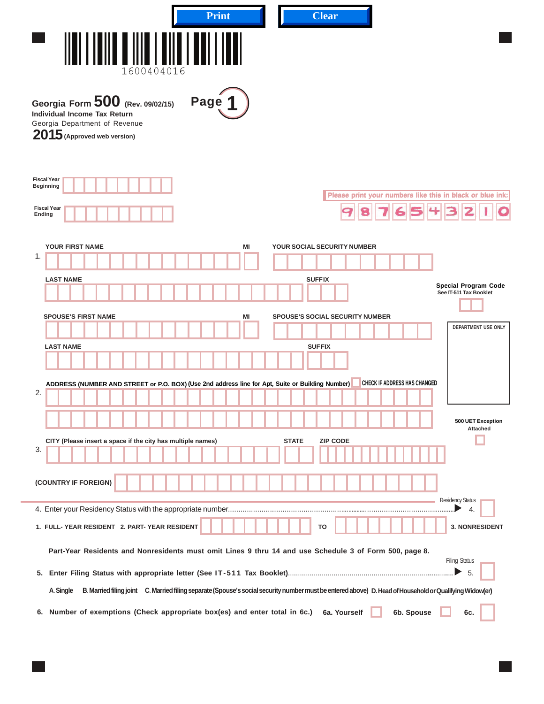| <b>Print</b>                                                                                                                               | <b>Clear</b>                                                                                                                                            |
|--------------------------------------------------------------------------------------------------------------------------------------------|---------------------------------------------------------------------------------------------------------------------------------------------------------|
| 1600404016                                                                                                                                 |                                                                                                                                                         |
| Georgia Form $500$ (Rev. 09/02/15)<br>Page<br>Individual Income Tax Return<br>Georgia Department of Revenue<br>2015 (Approved web version) |                                                                                                                                                         |
| <b>Fiscal Year</b><br><b>Beginning</b><br><b>Fiscal Year</b><br>Ending                                                                     | Please print your numbers like this in black or blue ink:                                                                                               |
| YOUR FIRST NAME<br>MI                                                                                                                      | YOUR SOCIAL SECURITY NUMBER                                                                                                                             |
| 1.                                                                                                                                         |                                                                                                                                                         |
| <b>LAST NAME</b>                                                                                                                           | <b>SUFFIX</b><br><b>Special Program Code</b>                                                                                                            |
|                                                                                                                                            | See IT-511 Tax Booklet                                                                                                                                  |
| <b>SPOUSE'S FIRST NAME</b><br>MI                                                                                                           | <b>SPOUSE'S SOCIAL SECURITY NUMBER</b><br>DEPARTMENT USE ONLY                                                                                           |
| <b>LAST NAME</b>                                                                                                                           | <b>SUFFIX</b>                                                                                                                                           |
|                                                                                                                                            |                                                                                                                                                         |
| ADDRESS (NUMBER AND STREET or P.O. BOX) (Use 2nd address line for Apt, Suite or Building Number)                                           | <b>CHECK IF ADDRESS HAS CHANGED</b>                                                                                                                     |
| 2.                                                                                                                                         |                                                                                                                                                         |
|                                                                                                                                            |                                                                                                                                                         |
| CITY (Please insert a space if the city has multiple names)                                                                                | 500 UET Exception<br><b>Attached</b><br><b>STATE</b><br><b>ZIP CODE</b>                                                                                 |
| 3.                                                                                                                                         |                                                                                                                                                         |
| (COUNTRY IF FOREIGN)                                                                                                                       |                                                                                                                                                         |
|                                                                                                                                            | <b>Residency Status</b>                                                                                                                                 |
|                                                                                                                                            | 4.                                                                                                                                                      |
| 1. FULL-YEAR RESIDENT 2. PART-YEAR RESIDENT                                                                                                | 3. NONRESIDENT<br>ΤО                                                                                                                                    |
| Part-Year Residents and Nonresidents must omit Lines 9 thru 14 and use Schedule 3 of Form 500, page 8.                                     | <b>Filing Status</b>                                                                                                                                    |
|                                                                                                                                            | - 5.<br>▶                                                                                                                                               |
| A. Single                                                                                                                                  | B. Married filing joint C. Married filing separate (Spouse's social security number must be entered above) D. Head of Household or Qualifying Widow(er) |
| 6. Number of exemptions (Check appropriate box(es) and enter total in 6c.)                                                                 | 6b. Spouse<br>6a. Yourself<br>6c.                                                                                                                       |

|  | _____ |  |  |
|--|-------|--|--|
|  |       |  |  |
|  |       |  |  |
|  |       |  |  |
|  |       |  |  |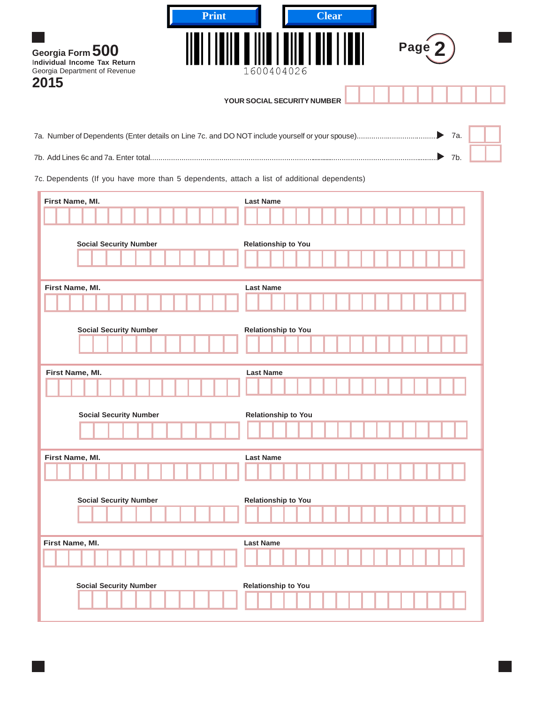| Print<br>Georgia Form 500<br>Individual Income Tax Return<br>Georgia Department of Revenue<br>2015 | <b>Clear</b><br>Page<br>1600404026 |
|----------------------------------------------------------------------------------------------------|------------------------------------|
|                                                                                                    | YOUR SOCIAL SECURITY NUMBER        |
|                                                                                                    | 7a.<br>▶                           |
|                                                                                                    | $\triangleright$ 7b.               |
| 7c. Dependents (If you have more than 5 dependents, attach a list of additional dependents)        |                                    |
| First Name, MI.                                                                                    | <b>Last Name</b>                   |
|                                                                                                    |                                    |
| <b>Social Security Number</b>                                                                      | <b>Relationship to You</b>         |
|                                                                                                    |                                    |
| First Name, MI.                                                                                    | <b>Last Name</b>                   |
|                                                                                                    |                                    |
| <b>Social Security Number</b>                                                                      | Relationship to You                |
| First Name, MI.                                                                                    | <b>Last Name</b>                   |
|                                                                                                    |                                    |
| <b>Social Security Number</b>                                                                      | <b>Relationship to You</b>         |
|                                                                                                    |                                    |
| First Name, MI.                                                                                    | <b>Last Name</b>                   |
|                                                                                                    |                                    |
| <b>Social Security Number</b>                                                                      | <b>Relationship to You</b>         |
|                                                                                                    |                                    |
| First Name, MI.                                                                                    | <b>Last Name</b>                   |
|                                                                                                    |                                    |
| <b>Social Security Number</b>                                                                      | <b>Relationship to You</b>         |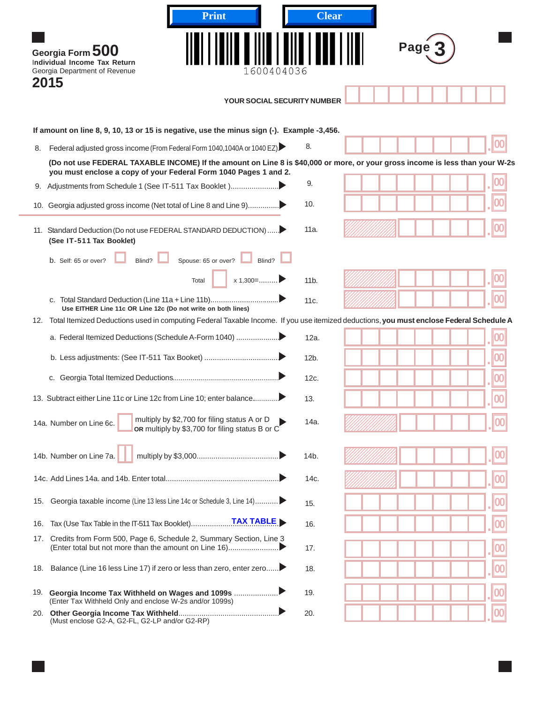|     | <b>Print</b>                                                                                                                                                                                                                                                                 | <b>Clear</b>    |           |
|-----|------------------------------------------------------------------------------------------------------------------------------------------------------------------------------------------------------------------------------------------------------------------------------|-----------------|-----------|
|     | Georgia Form 500<br>Individual Income Tax Return<br>1600404036<br>Georgia Department of Revenue<br>2015<br><b>YOUR SOCIAL SECURITY NUMBER</b>                                                                                                                                |                 | Page      |
|     |                                                                                                                                                                                                                                                                              |                 |           |
|     | If amount on line 8, 9, 10, 13 or 15 is negative, use the minus sign (-). Example -3,456.                                                                                                                                                                                    | 8.              |           |
| 8.  | Federal adjusted gross income (From Federal Form 1040, 1040A or 1040 EZ)<br>(Do not use FEDERAL TAXABLE INCOME) If the amount on Line 8 is \$40,000 or more, or your gross income is less than your W-2s<br>you must enclose a copy of your Federal Form 1040 Pages 1 and 2. |                 |           |
|     |                                                                                                                                                                                                                                                                              | 9.              |           |
|     | 10. Georgia adjusted gross income (Net total of Line 8 and Line 9)                                                                                                                                                                                                           | 10.             |           |
|     | 11. Standard Deduction (Do not use FEDERAL STANDARD DEDUCTION)<br>(See IT-511 Tax Booklet)                                                                                                                                                                                   | 11a.            |           |
|     | Blind? $\Box$<br>Spouse: 65 or over? Blind?<br>b. Self: 65 or over?                                                                                                                                                                                                          |                 |           |
|     | $x 1,300 = \dots$<br>Total                                                                                                                                                                                                                                                   | 11 <sub>b</sub> |           |
|     | Use EITHER Line 11c OR Line 12c (Do not write on both lines)                                                                                                                                                                                                                 | 11c.            |           |
|     | 12. Total Itemized Deductions used in computing Federal Taxable Income. If you use itemized deductions, you must enclose Federal Schedule A                                                                                                                                  |                 |           |
|     | a. Federal Itemized Deductions (Schedule A-Form 1040)                                                                                                                                                                                                                        | 12a.            | 00        |
|     |                                                                                                                                                                                                                                                                              | $12b$ .         | 00        |
|     |                                                                                                                                                                                                                                                                              | 12c.            | 00        |
|     | 13. Subtract either Line 11c or Line 12c from Line 10; enter balance                                                                                                                                                                                                         | 13.             | $\bf{00}$ |
|     | multiply by \$2,700 for filing status A or D<br>14a. Number on Line 6c.<br>or multiply by \$3,700 for filing status B or C                                                                                                                                                   | 14a.            |           |
|     | 14b. Number on Line 7a.                                                                                                                                                                                                                                                      | 14b.            |           |
|     |                                                                                                                                                                                                                                                                              | 14c.            |           |
| 15. | Georgia taxable income (Line 13 less Line 14c or Schedule 3, Line 14)                                                                                                                                                                                                        | 15.             |           |
| 16. | <b>TAX TABLE</b><br>Tax (Use Tax Table in the IT-511 Tax Booklet)                                                                                                                                                                                                            | 16.             |           |
| 17. | Credits from Form 500, Page 6, Schedule 2, Summary Section, Line 3                                                                                                                                                                                                           | 17.             |           |
| 18. | Balance (Line 16 less Line 17) if zero or less than zero, enter zero                                                                                                                                                                                                         | 18.             |           |
|     | 19. Georgia Income Tax Withheld on Wages and 1099s<br>(Enter Tax Withheld Only and enclose W-2s and/or 1099s)                                                                                                                                                                | 19.             |           |
|     | (Must enclose G2-A, G2-FL, G2-LP and/or G2-RP)                                                                                                                                                                                                                               | 20.             |           |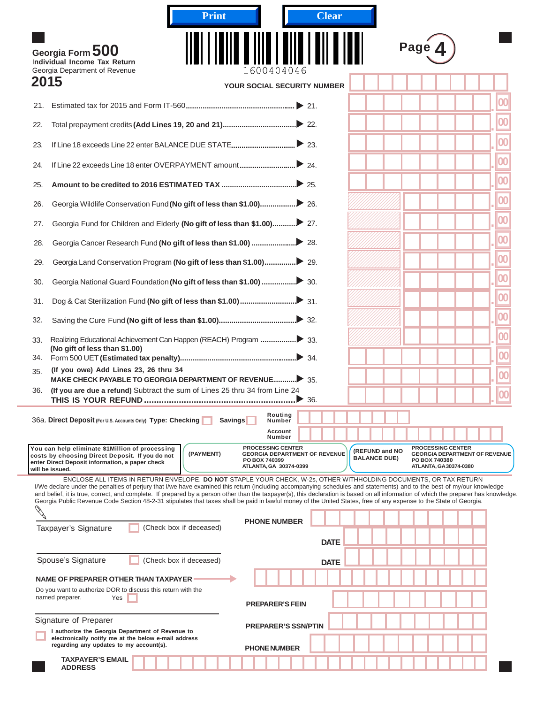| <b>Clear</b><br><b>Print</b>                                                                                                                                                                                                                                                                                                                                                                                                                                                                                                                                                                                                                                     |                                                                                                                                                     |
|------------------------------------------------------------------------------------------------------------------------------------------------------------------------------------------------------------------------------------------------------------------------------------------------------------------------------------------------------------------------------------------------------------------------------------------------------------------------------------------------------------------------------------------------------------------------------------------------------------------------------------------------------------------|-----------------------------------------------------------------------------------------------------------------------------------------------------|
| Georgia Form 500<br>Individual Income Tax Return                                                                                                                                                                                                                                                                                                                                                                                                                                                                                                                                                                                                                 | Page                                                                                                                                                |
| Georgia Department of Revenue<br>1600404046<br>2015<br>YOUR SOCIAL SECURITY NUMBER                                                                                                                                                                                                                                                                                                                                                                                                                                                                                                                                                                               |                                                                                                                                                     |
| 21.                                                                                                                                                                                                                                                                                                                                                                                                                                                                                                                                                                                                                                                              |                                                                                                                                                     |
| 22.                                                                                                                                                                                                                                                                                                                                                                                                                                                                                                                                                                                                                                                              |                                                                                                                                                     |
| 23.                                                                                                                                                                                                                                                                                                                                                                                                                                                                                                                                                                                                                                                              | 00                                                                                                                                                  |
| 24.                                                                                                                                                                                                                                                                                                                                                                                                                                                                                                                                                                                                                                                              | 00                                                                                                                                                  |
| 25.                                                                                                                                                                                                                                                                                                                                                                                                                                                                                                                                                                                                                                                              | 00                                                                                                                                                  |
| 26.                                                                                                                                                                                                                                                                                                                                                                                                                                                                                                                                                                                                                                                              | 00                                                                                                                                                  |
| 27.                                                                                                                                                                                                                                                                                                                                                                                                                                                                                                                                                                                                                                                              | 00                                                                                                                                                  |
| 28.                                                                                                                                                                                                                                                                                                                                                                                                                                                                                                                                                                                                                                                              | 00                                                                                                                                                  |
| 29.                                                                                                                                                                                                                                                                                                                                                                                                                                                                                                                                                                                                                                                              | 00                                                                                                                                                  |
| 30.                                                                                                                                                                                                                                                                                                                                                                                                                                                                                                                                                                                                                                                              | 00                                                                                                                                                  |
| 31.                                                                                                                                                                                                                                                                                                                                                                                                                                                                                                                                                                                                                                                              | 00                                                                                                                                                  |
| 32.                                                                                                                                                                                                                                                                                                                                                                                                                                                                                                                                                                                                                                                              | 00                                                                                                                                                  |
| 33.                                                                                                                                                                                                                                                                                                                                                                                                                                                                                                                                                                                                                                                              | 00                                                                                                                                                  |
| (No gift of less than \$1.00)<br>34.                                                                                                                                                                                                                                                                                                                                                                                                                                                                                                                                                                                                                             | 00                                                                                                                                                  |
| (If you owe) Add Lines 23, 26 thru 34<br>35.                                                                                                                                                                                                                                                                                                                                                                                                                                                                                                                                                                                                                     | 00                                                                                                                                                  |
| (If you are due a refund) Subtract the sum of Lines 25 thru 34 from Line 24<br>36.<br>$\geq$ 36.                                                                                                                                                                                                                                                                                                                                                                                                                                                                                                                                                                 | 100                                                                                                                                                 |
| Routing<br>36a. Direct Deposit (For U.S. Accounts Only) Type: Checking<br><b>Savings</b><br>Number                                                                                                                                                                                                                                                                                                                                                                                                                                                                                                                                                               |                                                                                                                                                     |
| Account<br>Number                                                                                                                                                                                                                                                                                                                                                                                                                                                                                                                                                                                                                                                |                                                                                                                                                     |
| <b>PROCESSING CENTER</b><br>You can help eliminate \$1Million of processing<br>(PAYMENT)<br><b>GEORGIA DEPARTMENT OF REVENUE</b><br>costs by choosing Direct Deposit. If you do not<br>PO BOX 740399<br>enter Direct Deposit information, a paper check<br>ATLANTA, GA 30374-0399<br>will be issued.                                                                                                                                                                                                                                                                                                                                                             | <b>PROCESSING CENTER</b><br>(REFUND and NO<br><b>GEORGIA DEPARTMENT OF REVENUE</b><br><b>BALANCE DUE)</b><br>PO BOX 740380<br>ATLANTA, GA30374-0380 |
| ENCLOSE ALL ITEMS IN RETURN ENVELOPE. DO NOT STAPLE YOUR CHECK, W-2s, OTHER WITHHOLDING DOCUMENTS, OR TAX RETURN<br>I/We declare under the penalties of perjury that I/we have examined this return (including accompanying schedules and statements) and to the best of my/our knowledge<br>and belief, it is true, correct, and complete. If prepared by a person other than the taxpayer(s), this declaration is based on all information of which the preparer has knowledge.<br>Georgia Public Revenue Code Section 48-2-31 stipulates that taxes shall be paid in lawful money of the United States, free of any expense to the State of Georgia.<br>C. R. |                                                                                                                                                     |
| <b>PHONE NUMBER</b><br>(Check box if deceased)<br>Taxpayer's Signature                                                                                                                                                                                                                                                                                                                                                                                                                                                                                                                                                                                           |                                                                                                                                                     |
| <b>DATE</b>                                                                                                                                                                                                                                                                                                                                                                                                                                                                                                                                                                                                                                                      |                                                                                                                                                     |
| Spouse's Signature<br>(Check box if deceased)<br><b>DATE</b>                                                                                                                                                                                                                                                                                                                                                                                                                                                                                                                                                                                                     |                                                                                                                                                     |
| NAME OF PREPARER OTHER THAN TAXPAYER<br>Do you want to authorize DOR to discuss this return with the                                                                                                                                                                                                                                                                                                                                                                                                                                                                                                                                                             |                                                                                                                                                     |
| named preparer.<br>Yes<br><b>PREPARER'S FEIN</b>                                                                                                                                                                                                                                                                                                                                                                                                                                                                                                                                                                                                                 |                                                                                                                                                     |
| Signature of Preparer<br><b>PREPARER'S SSN/PTIN</b><br>I authorize the Georgia Department of Revenue to                                                                                                                                                                                                                                                                                                                                                                                                                                                                                                                                                          |                                                                                                                                                     |
| electronically notify me at the below e-mail address<br>regarding any updates to my account(s).<br><b>PHONE NUMBER</b>                                                                                                                                                                                                                                                                                                                                                                                                                                                                                                                                           |                                                                                                                                                     |
| <b>TAXPAYER'S EMAIL</b><br><b>ADDRESS</b>                                                                                                                                                                                                                                                                                                                                                                                                                                                                                                                                                                                                                        |                                                                                                                                                     |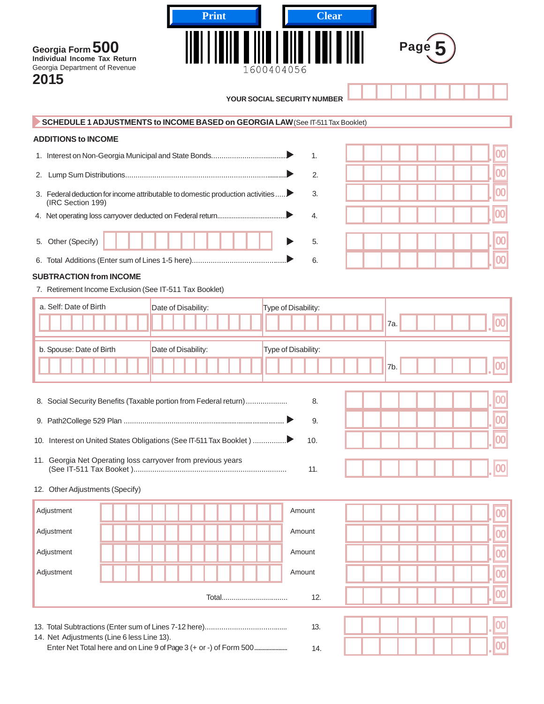| <b>Clear</b><br><b>Print</b><br>Page 5<br>Georgia Form 500<br>Individual Income Tax Return<br>Georgia Department of Revenue<br>600404056<br>2015 |                          |
|--------------------------------------------------------------------------------------------------------------------------------------------------|--------------------------|
| <b>YOUR SOCIAL SECURITY NUMBER</b>                                                                                                               |                          |
| SCHEDULE 1 ADJUSTMENTS to INCOME BASED on GEORGIA LAW (See IT-511 Tax Booklet)                                                                   |                          |
| <b>ADDITIONS to INCOME</b>                                                                                                                       |                          |
| 1.                                                                                                                                               |                          |
| 2.<br>2.                                                                                                                                         | 00                       |
| 3. Federal deduction for income attributable to domestic production activities<br>3.                                                             | $\overline{00}$          |
| (IRC Section 199)                                                                                                                                | 00                       |
| 4.                                                                                                                                               |                          |
| Other (Specify)<br>5.<br>5.                                                                                                                      |                          |
| 6.                                                                                                                                               |                          |
| <b>SUBTRACTION from INCOME</b>                                                                                                                   |                          |
| 7. Retirement Income Exclusion (See IT-511 Tax Booklet)                                                                                          |                          |
| a. Self: Date of Birth<br>Type of Disability:<br>Date of Disability:                                                                             |                          |
| 7a.                                                                                                                                              | 00                       |
| Date of Disability:<br>Type of Disability:<br>b. Spouse: Date of Birth                                                                           |                          |
| 7b.                                                                                                                                              | $\bf{00}$                |
| 8. Social Security Benefits (Taxable portion from Federal return)<br>8.                                                                          |                          |
| 9.                                                                                                                                               | 00                       |
|                                                                                                                                                  |                          |
| 10.                                                                                                                                              | $\bf{00}$                |
| 11. Georgia Net Operating loss carryover from previous years<br>11.                                                                              | 00                       |
| 12. Other Adjustments (Specify)                                                                                                                  |                          |
| Adjustment<br>Amount                                                                                                                             | 00                       |
| Adjustment<br>Amount                                                                                                                             | $\overline{\textbf{00}}$ |
| Adjustment<br>Amount                                                                                                                             | 00                       |
| Adjustment<br>Amount                                                                                                                             |                          |
|                                                                                                                                                  | $\bf{00}$                |
| 12.<br>Total                                                                                                                                     | $\bf{00}$                |
| 13.                                                                                                                                              |                          |
| 14. Net Adjustments (Line 6 less Line 13).                                                                                                       |                          |
| 14.                                                                                                                                              |                          |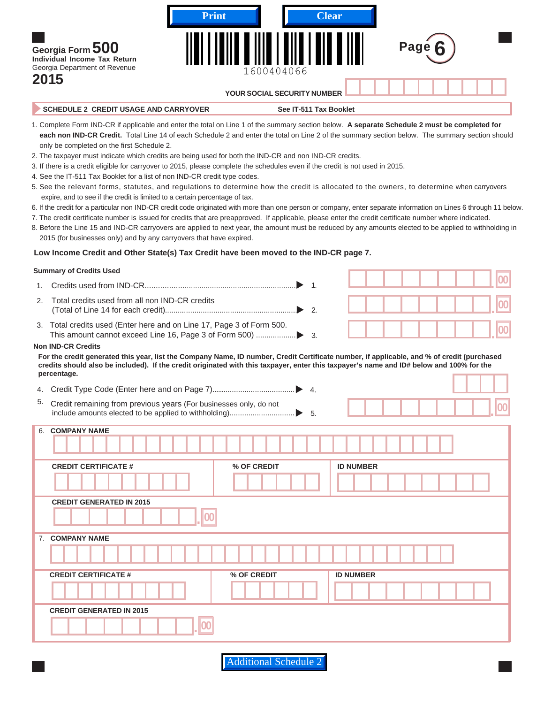| Georgia Form 500<br>Individual Income Tax Return<br>Georgia Department of Revenue<br>2015                                                                                                   | <b>Print</b> | <b>Clear</b><br>1600404066<br><b>YOUR SOCIAL SECURITY NUMBER</b>                                                                                | Page 6 |  |
|---------------------------------------------------------------------------------------------------------------------------------------------------------------------------------------------|--------------|-------------------------------------------------------------------------------------------------------------------------------------------------|--------|--|
| <b>SCHEDULE 2 CREDIT USAGE AND CARRYOVER</b>                                                                                                                                                |              | See IT-511 Tax Booklet                                                                                                                          |        |  |
| 1. Complete Form IND-CR if applicable and enter the total on Line 1 of the summary section below. A separate Schedule 2 must be completed for<br>only be completed on the first Schedule 2. |              | each non IND-CR Credit. Total Line 14 of each Schedule 2 and enter the total on Line 2 of the summary section below. The summary section should |        |  |
| 2. The taxpayer must indicate which credits are being used for both the IND-CR and non IND-CR credits.                                                                                      |              |                                                                                                                                                 |        |  |
| 3. If there is a credit eligible for carryover to 2015, please complete the schedules even if the credit is not used in 2015.                                                               |              |                                                                                                                                                 |        |  |
| 4. See the IT-511 Tax Booklet for a list of non IND-CR credit type codes.                                                                                                                   |              |                                                                                                                                                 |        |  |
|                                                                                                                                                                                             |              |                                                                                                                                                 |        |  |

- 5. See the relevant forms, statutes, and regulations to determine how the credit is allocated to the owners, to determine when carryovers expire, and to see if the credit is limited to a certain percentage of tax.
- 6. If the credit for a particular non IND-CR credit code originated with more than one person or company, enter separate information on Lines 6 through 11 below.
- 7. The credit certificate number is issued for credits that are preapproved. If applicable, please enter the credit certificate number where indicated.
- 8. Before the Line 15 and IND-CR carryovers are applied to next year, the amount must be reduced by any amounts elected to be applied to withholding in 2015 (for businesses only) and by any carryovers that have expired.

#### **Low Income Credit and Other State(s) Tax Credit have been moved to the IND-CR page 7.**

#### **Summary of Credits Used**

- 1. Credits used from IND-CR........................................................................ **<sup>00</sup>** 1. .
- 2. Total credits used from all non IND-CR credits (Total of Line 14 for each credit)............................................................... **<sup>00</sup>** 2. .
- 3. Total credits used (Enter here and on Line 17, Page 3 of Form 500. This amount cannot exceed Line 16, Page 3 of Form 500) ................... **<sup>00</sup>** 3. .

#### **Non IND-CR Credits**

 **For the credit generated this year, list the Company Name, ID number, Credit Certificate number, if applicable, and % of credit (purchased credits should also be included). If the credit originated with this taxpayer, enter this taxpayer's name and ID# below and 100% for the percentage.**

| 4. |                                                                   | $\overline{4}$ . |                   |
|----|-------------------------------------------------------------------|------------------|-------------------|
| 5. | Credit remaining from previous years (For businesses only, do not |                  | $\boldsymbol{00}$ |
| 6. | <b>COMPANY NAME</b>                                               |                  |                   |
|    | <b>CREDIT CERTIFICATE #</b>                                       | % OF CREDIT      | <b>ID NUMBER</b>  |
|    |                                                                   |                  |                   |
|    | <b>CREDIT GENERATED IN 2015</b>                                   |                  |                   |
|    |                                                                   |                  |                   |
|    | 7. COMPANY NAME                                                   |                  |                   |
|    |                                                                   |                  |                   |
|    | <b>CREDIT CERTIFICATE #</b>                                       | % OF CREDIT      | <b>ID NUMBER</b>  |
|    |                                                                   |                  |                   |
|    | <b>CREDIT GENERATED IN 2015</b>                                   |                  |                   |
|    |                                                                   |                  |                   |

**Additional Schedule**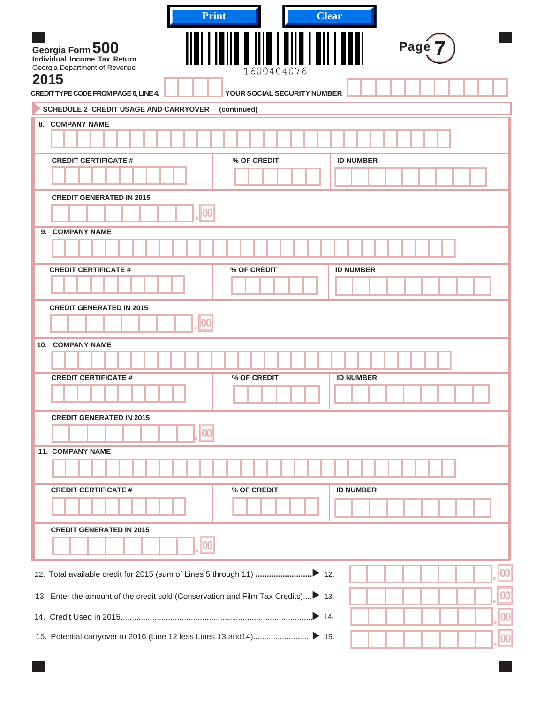| Page 7<br>Georgia Form 500<br>Individual Income Tax Return<br>Georgia Department of Revenue<br>1600404076<br>2015<br>CREDIT TYPE CODE FROM PAGE 6, LINE 4.<br>YOUR SOCIAL SECURITY NUMBER<br><b>SCHEDULE 2 CREDIT USAGE AND CARRYOVER</b><br>(continued)<br>8. COMPANY NAME<br><b>ID NUMBER</b><br><b>CREDIT CERTIFICATE #</b><br>% OF CREDIT<br><b>CREDIT GENERATED IN 2015</b><br>00<br><b>COMPANY NAME</b><br>9.<br><b>CREDIT CERTIFICATE #</b><br>% OF CREDIT<br><b>ID NUMBER</b><br><b>CREDIT GENERATED IN 2015</b><br>10. COMPANY NAME<br><b>CREDIT CERTIFICATE #</b><br>% OF CREDIT<br><b>ID NUMBER</b><br><b>CREDIT GENERATED IN 2015</b><br><b>11. COMPANY NAME</b><br><b>CREDIT CERTIFICATE #</b><br>% OF CREDIT<br><b>ID NUMBER</b><br><b>CREDIT GENERATED IN 2015</b> | <b>Print</b> | <b>Clear</b> |
|-----------------------------------------------------------------------------------------------------------------------------------------------------------------------------------------------------------------------------------------------------------------------------------------------------------------------------------------------------------------------------------------------------------------------------------------------------------------------------------------------------------------------------------------------------------------------------------------------------------------------------------------------------------------------------------------------------------------------------------------------------------------------------------|--------------|--------------|
|                                                                                                                                                                                                                                                                                                                                                                                                                                                                                                                                                                                                                                                                                                                                                                                   |              |              |
|                                                                                                                                                                                                                                                                                                                                                                                                                                                                                                                                                                                                                                                                                                                                                                                   |              |              |
|                                                                                                                                                                                                                                                                                                                                                                                                                                                                                                                                                                                                                                                                                                                                                                                   |              |              |
|                                                                                                                                                                                                                                                                                                                                                                                                                                                                                                                                                                                                                                                                                                                                                                                   |              |              |
|                                                                                                                                                                                                                                                                                                                                                                                                                                                                                                                                                                                                                                                                                                                                                                                   |              |              |
|                                                                                                                                                                                                                                                                                                                                                                                                                                                                                                                                                                                                                                                                                                                                                                                   |              |              |
|                                                                                                                                                                                                                                                                                                                                                                                                                                                                                                                                                                                                                                                                                                                                                                                   |              |              |
|                                                                                                                                                                                                                                                                                                                                                                                                                                                                                                                                                                                                                                                                                                                                                                                   |              |              |
|                                                                                                                                                                                                                                                                                                                                                                                                                                                                                                                                                                                                                                                                                                                                                                                   |              |              |
|                                                                                                                                                                                                                                                                                                                                                                                                                                                                                                                                                                                                                                                                                                                                                                                   |              |              |
|                                                                                                                                                                                                                                                                                                                                                                                                                                                                                                                                                                                                                                                                                                                                                                                   |              |              |
|                                                                                                                                                                                                                                                                                                                                                                                                                                                                                                                                                                                                                                                                                                                                                                                   |              |              |
|                                                                                                                                                                                                                                                                                                                                                                                                                                                                                                                                                                                                                                                                                                                                                                                   |              |              |
|                                                                                                                                                                                                                                                                                                                                                                                                                                                                                                                                                                                                                                                                                                                                                                                   |              |              |
|                                                                                                                                                                                                                                                                                                                                                                                                                                                                                                                                                                                                                                                                                                                                                                                   |              |              |
|                                                                                                                                                                                                                                                                                                                                                                                                                                                                                                                                                                                                                                                                                                                                                                                   |              |              |
|                                                                                                                                                                                                                                                                                                                                                                                                                                                                                                                                                                                                                                                                                                                                                                                   |              |              |
|                                                                                                                                                                                                                                                                                                                                                                                                                                                                                                                                                                                                                                                                                                                                                                                   |              |              |
|                                                                                                                                                                                                                                                                                                                                                                                                                                                                                                                                                                                                                                                                                                                                                                                   |              |              |
|                                                                                                                                                                                                                                                                                                                                                                                                                                                                                                                                                                                                                                                                                                                                                                                   |              |              |
|                                                                                                                                                                                                                                                                                                                                                                                                                                                                                                                                                                                                                                                                                                                                                                                   |              |              |
|                                                                                                                                                                                                                                                                                                                                                                                                                                                                                                                                                                                                                                                                                                                                                                                   |              |              |
|                                                                                                                                                                                                                                                                                                                                                                                                                                                                                                                                                                                                                                                                                                                                                                                   |              |              |
|                                                                                                                                                                                                                                                                                                                                                                                                                                                                                                                                                                                                                                                                                                                                                                                   |              |              |
|                                                                                                                                                                                                                                                                                                                                                                                                                                                                                                                                                                                                                                                                                                                                                                                   |              |              |
|                                                                                                                                                                                                                                                                                                                                                                                                                                                                                                                                                                                                                                                                                                                                                                                   |              |              |
|                                                                                                                                                                                                                                                                                                                                                                                                                                                                                                                                                                                                                                                                                                                                                                                   |              |              |
| 00                                                                                                                                                                                                                                                                                                                                                                                                                                                                                                                                                                                                                                                                                                                                                                                |              |              |
| 00<br>13. Enter the amount of the credit sold (Conservation and Film Tax Credits) 13.                                                                                                                                                                                                                                                                                                                                                                                                                                                                                                                                                                                                                                                                                             |              |              |
| $\boldsymbol{00}$                                                                                                                                                                                                                                                                                                                                                                                                                                                                                                                                                                                                                                                                                                                                                                 |              |              |
|                                                                                                                                                                                                                                                                                                                                                                                                                                                                                                                                                                                                                                                                                                                                                                                   |              | 00           |
|                                                                                                                                                                                                                                                                                                                                                                                                                                                                                                                                                                                                                                                                                                                                                                                   |              |              |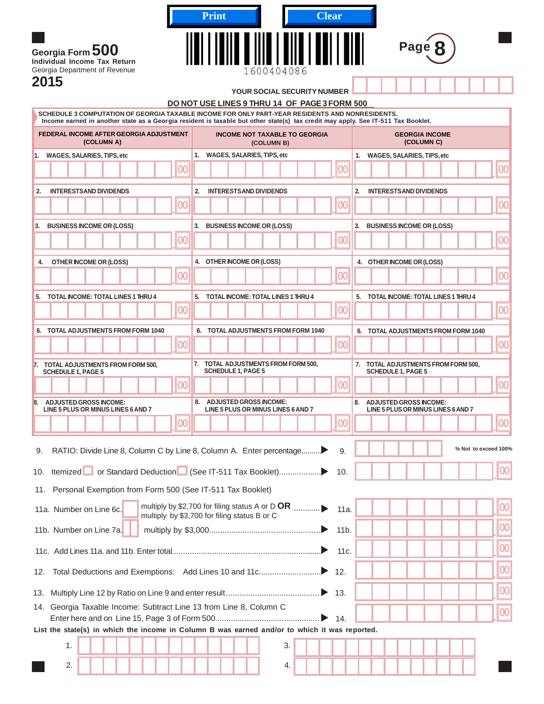|                                                                                                                                                                                                                                     |                 | <b>Print</b> |                                                                  |            | <b>Clear</b> |           |    |                                                                     |      |                                     |                                       |                      |
|-------------------------------------------------------------------------------------------------------------------------------------------------------------------------------------------------------------------------------------|-----------------|--------------|------------------------------------------------------------------|------------|--------------|-----------|----|---------------------------------------------------------------------|------|-------------------------------------|---------------------------------------|----------------------|
| Georgia Form 500<br>Individual Income Tax Return<br>Georgia Department of Revenue                                                                                                                                                   |                 |              |                                                                  | 1600404086 |              |           |    |                                                                     | Page |                                     |                                       |                      |
| 2015                                                                                                                                                                                                                                |                 |              | YOUR SOCIAL SECURITY NUMBER                                      |            |              |           |    |                                                                     |      |                                     |                                       |                      |
|                                                                                                                                                                                                                                     |                 |              | DO NOT USE LINES 9 THRU 14 OF PAGE 3 FORM 500                    |            |              |           |    |                                                                     |      |                                     |                                       |                      |
| SCHEDULE 3 COMPUTATION OF GEORGIA TAXABLE INCOME FOR ONLY PART-YEAR RESIDENTS AND NONRESIDENTS.<br>Income earned in another state as a Georgia resident is taxable but other state(s) tax credit may apply. See IT-511 Tax Booklet. |                 |              |                                                                  |            |              |           |    |                                                                     |      |                                     |                                       |                      |
| FEDERAL INCOME AFTER GEORGIA ADJUSTMENT<br>(COLUMN A)                                                                                                                                                                               |                 |              | <b>INCOME NOT TAXABLE TO GEORGIA</b>                             | (COLUMN B) |              |           |    |                                                                     |      | <b>GEORGIA INCOME</b><br>(COLUMN C) |                                       |                      |
| 1. WAGES, SALARIES, TIPS, etc                                                                                                                                                                                                       |                 |              | 1. WAGES, SALARIES, TIPS, etc                                    |            |              |           |    | 1. WAGES, SALARIES, TIPS, etc                                       |      |                                     |                                       |                      |
|                                                                                                                                                                                                                                     |                 |              |                                                                  |            |              | O         |    |                                                                     |      |                                     |                                       | 00                   |
| <b>INTERESTSAND DIVIDENDS</b><br>2.                                                                                                                                                                                                 |                 | 2.           | <b>INTERESTS AND DIVIDENDS</b>                                   |            |              |           | 2. | <b>INTERESTSAND DIVIDENDS</b>                                       |      |                                     |                                       |                      |
|                                                                                                                                                                                                                                     | 100             |              |                                                                  |            |              | <b>OC</b> |    |                                                                     |      |                                     |                                       | 100                  |
| <b>BUSINESS INCOME OR (LOSS)</b><br>3.                                                                                                                                                                                              |                 | 3.           | <b>BUSINESS INCOME OR (LOSS)</b>                                 |            |              |           | 3. | <b>BUSINESS INCOME OR (LOSS)</b>                                    |      |                                     |                                       |                      |
|                                                                                                                                                                                                                                     | $\overline{00}$ |              |                                                                  |            |              | <b>OC</b> |    |                                                                     |      |                                     |                                       | 100                  |
|                                                                                                                                                                                                                                     |                 |              |                                                                  |            |              |           |    |                                                                     |      |                                     |                                       |                      |
| <b>OTHER INCOME OR (LOSS)</b><br>4.                                                                                                                                                                                                 | OC              |              | 4. OTHER INCOME OR (LOSS)                                        |            |              |           |    | 4. OTHER INCOME OR (LOSS)                                           |      |                                     |                                       | 100                  |
|                                                                                                                                                                                                                                     |                 |              |                                                                  |            |              |           |    |                                                                     |      |                                     |                                       |                      |
| 5. TOTAL INCOME: TOTAL LINES 1 THRU 4                                                                                                                                                                                               | 100             |              | 5. TOTAL INCOME: TOTAL LINES 1 THRU 4                            |            |              | 100       |    |                                                                     |      |                                     | 5. TOTAL INCOME: TOTAL LINES 1 THRU 4 | 100                  |
|                                                                                                                                                                                                                                     |                 |              |                                                                  |            |              |           |    |                                                                     |      |                                     |                                       |                      |
| 6. TOTAL ADJUSTMENTS FROM FORM 1040                                                                                                                                                                                                 |                 |              | 6. TOTAL ADJUSTMENTS FROM FORM 1040                              |            |              |           |    |                                                                     |      |                                     | 6. TOTAL ADJUSTMENTS FROM FORM 1040   |                      |
|                                                                                                                                                                                                                                     | 100             |              |                                                                  |            |              | 100       |    |                                                                     |      |                                     |                                       | 100                  |
| 7.<br><b>TOTAL ADJUSTMENTS FROM FORM 500,</b><br><b>SCHEDULE 1, PAGE 5</b>                                                                                                                                                          |                 |              | 7. TOTAL ADJUSTMENTS FROM FORM 500,<br><b>SCHEDULE 1, PAGE 5</b> |            |              |           |    | <b>SCHEDULE 1, PAGE 5</b>                                           |      |                                     | 7. TOTAL ADJUSTMENTS FROM FORM 500,   |                      |
|                                                                                                                                                                                                                                     | 00              |              |                                                                  |            |              | 100       |    |                                                                     |      |                                     |                                       | 100                  |
| <b>ADJUSTED GROSS INCOME:</b><br>8.<br>LINE 5 PLUS OR MINUS LINES 6 AND 7                                                                                                                                                           |                 | 8.           | <b>ADJUSTED GROSS INCOME:</b>                                    |            |              |           | 8. | <b>ADJUSTED GROSS INCOME:</b><br>LINE 5 PLUS OR MINUS LINES 6 AND 7 |      |                                     |                                       |                      |
|                                                                                                                                                                                                                                     | 100             |              | LINE 5 PLUS OR MINUS LINES 6 AND 7                               |            |              | 100       |    |                                                                     |      |                                     |                                       | 00                   |
| RATIO: Divide Line 8, Column C by Line 8, Column A. Enter percentage<br>9.                                                                                                                                                          |                 |              |                                                                  |            |              | 9.        |    |                                                                     |      |                                     |                                       | % Not to exceed 100% |
| 10.                                                                                                                                                                                                                                 |                 |              |                                                                  |            |              | 10.       |    |                                                                     |      |                                     |                                       | 00                   |
| 11. Personal Exemption from Form 500 (See IT-511 Tax Booklet)                                                                                                                                                                       |                 |              |                                                                  |            |              |           |    |                                                                     |      |                                     |                                       |                      |
| 11a. Number on Line 6c.                                                                                                                                                                                                             |                 |              |                                                                  |            |              |           |    |                                                                     |      |                                     |                                       | 00                   |
|                                                                                                                                                                                                                                     |                 |              |                                                                  |            |              |           |    |                                                                     |      |                                     |                                       |                      |
| 11b. Number on Line 7a.                                                                                                                                                                                                             |                 |              | multiply by \$3,700 for filing status B or C                     |            |              |           |    |                                                                     |      |                                     |                                       | 00                   |

| 11b. Number on Line 7a.                                                                       |  |
|-----------------------------------------------------------------------------------------------|--|
|                                                                                               |  |
| 12.                                                                                           |  |
| 13.                                                                                           |  |
| Georgia Taxable Income: Subtract Line 13 from Line 8, Column C<br>14.                         |  |
| List the state(s) in which the income in Column B was earned and/or to which it was reported. |  |
| 3.                                                                                            |  |
| 2.<br>4.                                                                                      |  |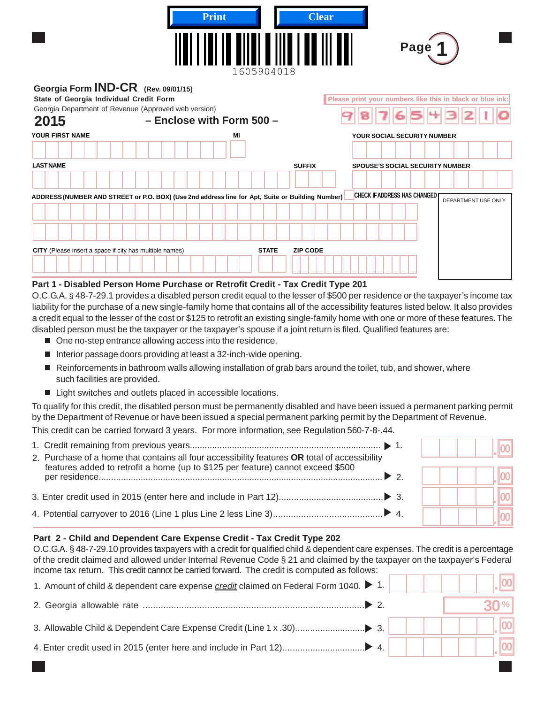|                                                                                                                                                       | <b>Print</b><br>1605904018                                                                       | <b>Clear</b><br>Page 1                                     |
|-------------------------------------------------------------------------------------------------------------------------------------------------------|--------------------------------------------------------------------------------------------------|------------------------------------------------------------|
| Georgia Form <b>IND-CR</b> (Rev. 09/01/15)<br>State of Georgia Individual Credit Form<br>Georgia Department of Revenue (Approved web version)<br>2015 | - Enclose with Form 500 -                                                                        | Please print your numbers like this in black or blue ink:  |
| YOUR FIRST NAME                                                                                                                                       | MI                                                                                               | YOUR SOCIAL SECURITY NUMBER                                |
|                                                                                                                                                       |                                                                                                  |                                                            |
| <b>LAST NAME</b>                                                                                                                                      | <b>SUFFIX</b>                                                                                    | <b>SPOUSE'S SOCIAL SECURITY NUMBER</b>                     |
|                                                                                                                                                       |                                                                                                  |                                                            |
|                                                                                                                                                       | ADDRESS (NUMBER AND STREET or P.O. BOX) (Use 2nd address line for Apt, Suite or Building Number) | <b>CHECK IF ADDRESS HAS CHANGED</b><br>DEPARTMENT USE ONLY |
|                                                                                                                                                       |                                                                                                  |                                                            |
|                                                                                                                                                       |                                                                                                  |                                                            |
| CITY (Please insert a space if city has multiple names)                                                                                               | <b>STATE</b><br><b>ZIP CODE</b>                                                                  |                                                            |
|                                                                                                                                                       |                                                                                                  |                                                            |

#### **Part 1 - Disabled Person Home Purchase or Retrofit Credit - Tax Credit Type 201**

O.C.G.A. § 48-7-29.1 provides a disabled person credit equal to the lesser of \$500 per residence or the taxpayer's income tax liability for the purchase of a new single-family home that contains all of the accessibility features listed below. It also provides a credit equal to the lesser of the cost or \$125 to retrofit an existing single-family home with one or more of these features. The disabled person must be the taxpayer or the taxpayer's spouse if a joint return is filed. Qualified features are:

- One no-step entrance allowing access into the residence.
- Interior passage doors providing at least a 32-inch-wide opening.
- Reinforcements in bathroom walls allowing installation of grab bars around the toilet, tub, and shower, where such facilities are provided.
- Light switches and outlets placed in accessible locations.

To qualify for this credit, the disabled person must be permanently disabled and have been issued a permanent parking permit by the Department of Revenue or have been issued a special permanent parking permit by the Department of Revenue.

This credit can be carried forward 3 years. For more information, see Regulation 560-7-8-.44.

| 2. Purchase of a home that contains all four accessibility features OR total of accessibility |  |  |
|-----------------------------------------------------------------------------------------------|--|--|
| features added to retrofit a home (up to \$125 per feature) cannot exceed \$500               |  |  |
|                                                                                               |  |  |
|                                                                                               |  |  |

#### **Part 2 - Child and Dependent Care Expense Credit - Tax Credit Type 202**

O.C.G.A. § 48-7-29.10 provides taxpayers with a credit for qualified child & dependent care expenses. The credit is a percentage of the credit claimed and allowed under Internal Revenue Code § 21 and claimed by the taxpayer on the taxpayer's Federal income tax return. This credit cannot be carried forward. The credit is computed as follows:

| 1. Amount of child & dependent care expense credit claimed on Federal Form 1040. ▶ 1. |  |                 |
|---------------------------------------------------------------------------------------|--|-----------------|
|                                                                                       |  | 30 <sup>%</sup> |
|                                                                                       |  |                 |
|                                                                                       |  |                 |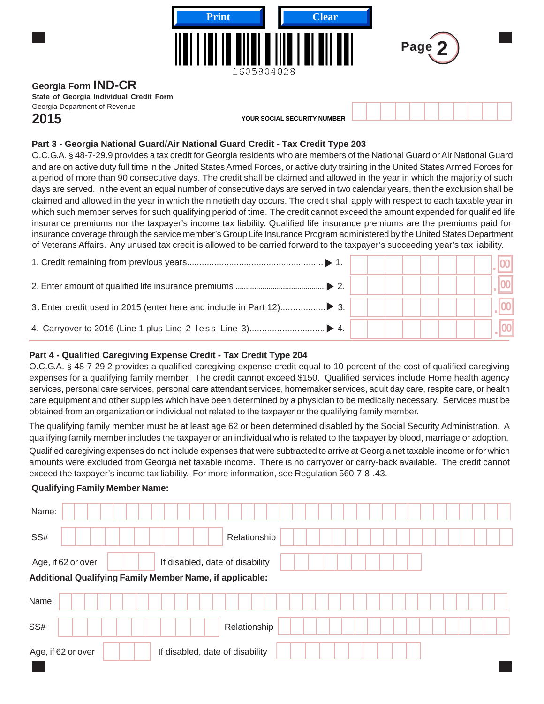| Π                                       | <b>Print</b><br><b>Clear</b><br>1605904028 |  |  | Page |  |  |  |  |
|-----------------------------------------|--------------------------------------------|--|--|------|--|--|--|--|
| Georgia Form IND-CR                     |                                            |  |  |      |  |  |  |  |
| State of Georgia Individual Credit Form |                                            |  |  |      |  |  |  |  |
| Georgia Department of Revenue           |                                            |  |  |      |  |  |  |  |

**2015 YOUR SOCIAL SECURITY NUMBER**

# **Part 3 - Georgia National Guard/Air National Guard Credit - Tax Credit Type 203**

O.C.G.A. § 48-7-29.9 provides a tax credit for Georgia residents who are members of the National Guard or Air National Guard and are on active duty full time in the United States Armed Forces, or active duty training in the United States Armed Forces for a period of more than 90 consecutive days. The credit shall be claimed and allowed in the year in which the majority of such days are served. In the event an equal number of consecutive days are served in two calendar years, then the exclusion shall be claimed and allowed in the year in which the ninetieth day occurs. The credit shall apply with respect to each taxable year in which such member serves for such qualifying period of time. The credit cannot exceed the amount expended for qualified life insurance premiums nor the taxpayer's income tax liability. Qualified life insurance premiums are the premiums paid for insurance coverage through the service member's Group Life Insurance Program administered by the United States Department of Veterans Affairs. Any unused tax credit is allowed to be carried forward to the taxpayer's succeeding year's tax liability.

|  |  |  |  |  | $\vert \vert$ $\vert$ 00 $\vert$ |  |
|--|--|--|--|--|----------------------------------|--|
|  |  |  |  |  |                                  |  |

# **Part 4 - Qualified Caregiving Expense Credit - Tax Credit Type 204**

O.C.G.A. § 48-7-29.2 provides a qualified caregiving expense credit equal to 10 percent of the cost of qualified caregiving expenses for a qualifying family member. The credit cannot exceed \$150. Qualified services include Home health agency services, personal care services, personal care attendant services, homemaker services, adult day care, respite care, or health care equipment and other supplies which have been determined by a physician to be medically necessary. Services must be obtained from an organization or individual not related to the taxpayer or the qualifying family member.

The qualifying family member must be at least age 62 or been determined disabled by the Social Security Administration. A qualifying family member includes the taxpayer or an individual who is related to the taxpayer by blood, marriage or adoption. Qualified caregiving expenses do not include expenses that were subtracted to arrive at Georgia net taxable income or for which amounts were excluded from Georgia net taxable income. There is no carryover or carry-back available. The credit cannot exceed the taxpayer's income tax liability. For more information, see Regulation 560-7-8-.43.

### **Qualifying Family Member Name:**

| Name:                                                                                 |  |  |  |                                 |  |              |  |  |  |  |  |  |  |  |  |
|---------------------------------------------------------------------------------------|--|--|--|---------------------------------|--|--------------|--|--|--|--|--|--|--|--|--|
| SS#                                                                                   |  |  |  |                                 |  | Relationship |  |  |  |  |  |  |  |  |  |
| Age, if 62 or over<br><b>Additional Qualifying Family Member Name, if applicable:</b> |  |  |  | If disabled, date of disability |  |              |  |  |  |  |  |  |  |  |  |
| Name:                                                                                 |  |  |  |                                 |  |              |  |  |  |  |  |  |  |  |  |
| SS#                                                                                   |  |  |  |                                 |  | Relationship |  |  |  |  |  |  |  |  |  |
| Age, if 62 or over                                                                    |  |  |  | If disabled, date of disability |  |              |  |  |  |  |  |  |  |  |  |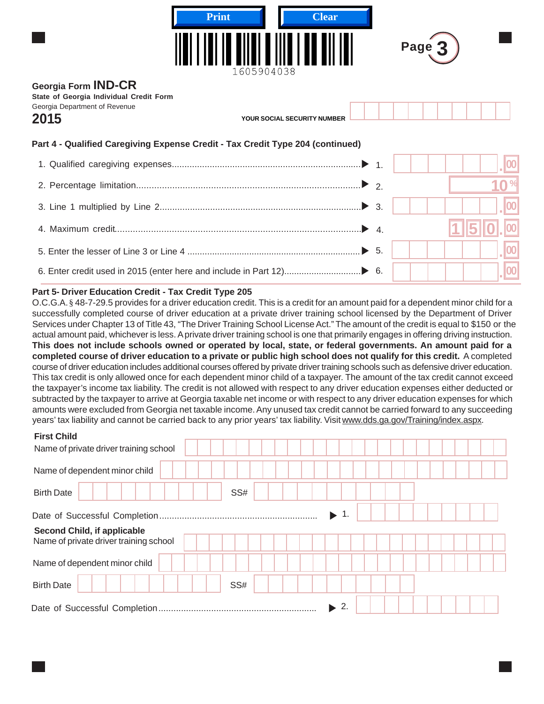|                                                                                                                | <b>Print</b><br><b>Clear</b><br>1605904038 |    | Page 3 |  |
|----------------------------------------------------------------------------------------------------------------|--------------------------------------------|----|--------|--|
| Georgia Form <b>IND-CR</b><br>State of Georgia Individual Credit Form<br>Georgia Department of Revenue<br>2015 | YOUR SOCIAL SECURITY NUMBER                |    |        |  |
| Part 4 - Qualified Caregiving Expense Credit - Tax Credit Type 204 (continued)                                 |                                            |    |        |  |
|                                                                                                                |                                            |    |        |  |
|                                                                                                                |                                            |    |        |  |
|                                                                                                                |                                            |    |        |  |
|                                                                                                                |                                            |    |        |  |
|                                                                                                                |                                            |    |        |  |
|                                                                                                                |                                            | 6. |        |  |

#### **Part 5- Driver Education Credit - Tax Credit Type 205**

O.C.G.A. § 48-7-29.5 provides for a driver education credit. This is a credit for an amount paid for a dependent minor child for a successfully completed course of driver education at a private driver training school licensed by the Department of Driver Services under Chapter 13 of Title 43, "The Driver Training School License Act." The amount of the credit is equal to \$150 or the actual amount paid, whichever is less. A private driver training school is one that primarily engages in offering driving instruction. **This does not include schools owned or operated by local, state, or federal governments. An amount paid for a completed course of driver education to a private or public high school does not qualify for this credit.** A completed course of driver education includes additional courses offered by private driver training schools such as defensive driver education. This tax credit is only allowed once for each dependent minor child of a taxpayer. The amount of the tax credit cannot exceed the taxpayer's income tax liability. The credit is not allowed with respect to any driver education expenses either deducted or subtracted by the taxpayer to arrive at Georgia taxable net income or with respect to any driver education expenses for which amounts were excluded from Georgia net taxable income. Any unused tax credit cannot be carried forward to any succeeding years' tax liability and cannot be carried back to any prior years' tax liability. Visit [www.dds.ga.gov/Training/index.aspx](http://www.dds.ga.gov/Training/index.aspx).

# **First Child**

| і пэгоппи<br>Name of private driver training school                   |     |  |  |  |  |
|-----------------------------------------------------------------------|-----|--|--|--|--|
| Name of dependent minor child                                         |     |  |  |  |  |
| <b>Birth Date</b>                                                     | SS# |  |  |  |  |
|                                                                       |     |  |  |  |  |
| Second Child, if applicable<br>Name of private driver training school |     |  |  |  |  |
| Name of dependent minor child                                         |     |  |  |  |  |
| <b>Birth Date</b>                                                     | SS# |  |  |  |  |
|                                                                       |     |  |  |  |  |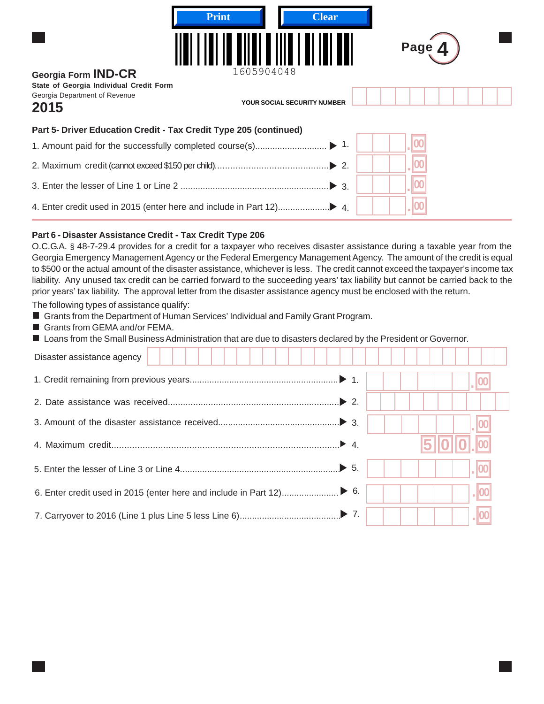| <b>Print</b><br>Georgia Form <b>IND-CR</b>                                       | <b>Clear</b><br>1605904048         | Page |
|----------------------------------------------------------------------------------|------------------------------------|------|
| State of Georgia Individual Credit Form<br>Georgia Department of Revenue<br>2015 | <b>YOUR SOCIAL SECURITY NUMBER</b> |      |
| Part 5- Driver Education Credit - Tax Credit Type 205 (continued)                |                                    |      |
| 1. Amount paid for the successfully completed course(s)                          | $\blacktriangleright$ 1.           |      |
|                                                                                  | $\triangleright$ 2.                |      |
|                                                                                  | $\triangleright$ 3.                |      |
|                                                                                  |                                    |      |

#### **Part 6 - Disaster Assistance Credit - Tax Credit Type 206**

O.C.G.A. § 48-7-29.4 provides for a credit for a taxpayer who receives disaster assistance during a taxable year from the Georgia Emergency Management Agency or the Federal Emergency Management Agency. The amount of the credit is equal to \$500 or the actual amount of the disaster assistance, whichever is less. The credit cannot exceed the taxpayer's income tax liability. Any unused tax credit can be carried forward to the succeeding years' tax liability but cannot be carried back to the prior years' tax liability. The approval letter from the disaster assistance agency must be enclosed with the return.

The following types of assistance qualify:

- Grants from the Department of Human Services' Individual and Family Grant Program.
- Grants from GEMA and/or FEMA.
- Loans from the Small Business Administration that are due to disasters declared by the President or Governor.

| Disaster assistance agency |  |            |
|----------------------------|--|------------|
|                            |  |            |
|                            |  |            |
|                            |  |            |
|                            |  | <b>510</b> |
|                            |  |            |
|                            |  |            |
|                            |  |            |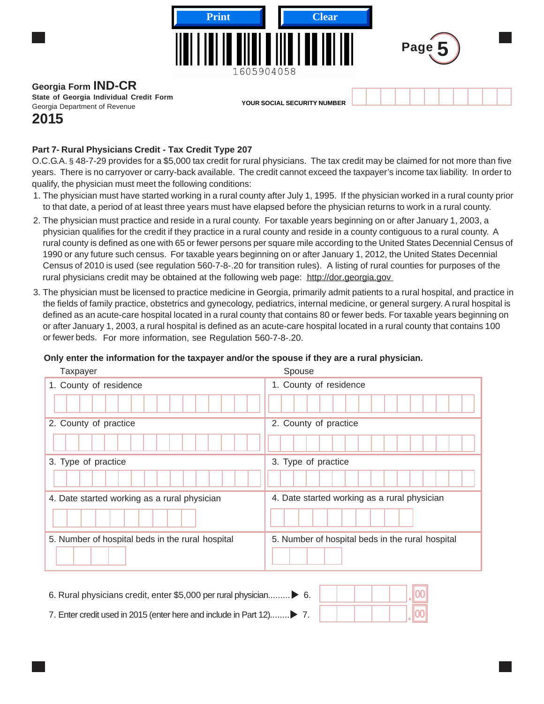

# **Georgia Form IND-CR**

**State of Georgia Individual Credit Form** Georgia Department of Revenue

**YOUR SOCIAL SECURITY NUMBER**

# **2015**

# **Part 7- Rural Physicians Credit - Tax Credit Type 207**

O.C.G.A. § 48-7-29 provides for a \$5,000 tax credit for rural physicians. The tax credit may be claimed for not more than five years. There is no carryover or carry-back available. The credit cannot exceed the taxpayer's income tax liability. In order to qualify, the physician must meet the following conditions:

- 1. The physician must have started working in a rural county after July 1, 1995. If the physician worked in a rural county prior to that date, a period of at least three years must have elapsed before the physician returns to work in a rural county.
- 2. The physician must practice and reside in a rural county. For taxable years beginning on or after January 1, 2003, a physician qualifies for the credit if they practice in a rural county and reside in a county contiguous to a rural county. A rural county is defined as one with 65 or fewer persons per square mile according to the United States Decennial Census of 1990 or any future such census. For taxable years beginning on or after January 1, 2012, the United States Decennial Census of 2010 is used (see regulation 560-7-8-.20 for transition rules). A listing of rural counties for purposes of the rural physicians credit may be obtained at the following web page: <http://dor.georgia.gov>
- 3. The physician must be licensed to practice medicine in Georgia, primarily admit patients to a rural hospital, and practice in the fields of family practice, obstetrics and gynecology, pediatrics, internal medicine, or general surgery. A rural hospital is defined as an acute-care hospital located in a rural county that contains 80 or fewer beds. For taxable years beginning on or after January 1, 2003, a rural hospital is defined as an acute-care hospital located in a rural county that contains 100 or fewer beds. For more information, see Regulation 560-7-8-.20.

# **Only enter the information for the taxpayer and/or the spouse if they are a rural physician.**

| Taxpayer                                         | Spouse                                           |
|--------------------------------------------------|--------------------------------------------------|
| 1. County of residence                           | 1. County of residence                           |
|                                                  |                                                  |
| 2. County of practice                            | 2. County of practice                            |
|                                                  |                                                  |
| 3. Type of practice                              | 3. Type of practice                              |
|                                                  |                                                  |
| 4. Date started working as a rural physician     | 4. Date started working as a rural physician     |
|                                                  |                                                  |
| 5. Number of hospital beds in the rural hospital | 5. Number of hospital beds in the rural hospital |
|                                                  |                                                  |

| 6. Rural physicians credit, enter \$5,000 per rural physician 6.    |  |  |  |
|---------------------------------------------------------------------|--|--|--|
| 7. Enter credit used in 2015 (enter here and include in Part 12) 7. |  |  |  |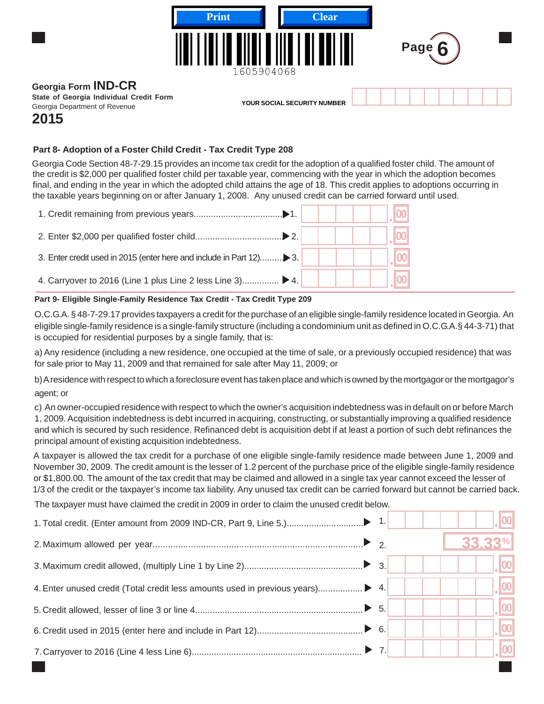

# **2015**

### **Part 8- Adoption of a Foster Child Credit - Tax Credit Type 208**

Georgia Code Section 48-7-29.15 provides an income tax credit for the adoption of a qualified foster child. The amount of the credit is \$2,000 per qualified foster child per taxable year, commencing with the year in which the adoption becomes final, and ending in the year in which the adopted child attains the age of 18. This credit applies to adoptions occurring in the taxable years beginning on or after January 1, 2008. Any unused credit can be carried forward until used.

| 4. Carryover to 2016 (Line 1 plus Line 2 less Line 3) $\blacktriangleright$ 4. |  |  |
|--------------------------------------------------------------------------------|--|--|

#### **Part 9- Eligible Single-Family Residence Tax Credit - Tax Credit Type 209**

O.C.G.A. § 48-7-29.17 provides taxpayers a credit for the purchase of an eligible single-family residence located in Georgia. An eligible single-family residence is a single-family structure (including a condominium unit as defined in O.C.G.A.§ 44-3-71) that is occupied for residential purposes by a single family, that is:

a) Any residence (including a new residence, one occupied at the time of sale, or a previously occupied residence) that was for sale prior to May 11, 2009 and that remained for sale after May 11, 2009; or

b) A residence with respect to which a foreclosure event has taken place and which is owned by the mortgagor or the mortgagor's agent; or

c) An owner-occupied residence with respect to which the owner's acquisition indebtedness was in default on or before March 1, 2009. Acquisition indebtedness is debt incurred in acquiring, constructing, or substantially improving a qualified residence and which is secured by such residence. Refinanced debt is acquisition debt if at least a portion of such debt refinances the principal amount of existing acquisition indebtedness.

A taxpayer is allowed the tax credit for a purchase of one eligible single-family residence made between June 1, 2009 and November 30, 2009. The credit amount is the lesser of 1.2 percent of the purchase price of the eligible single-family residence or \$1,800.00. The amount of the tax credit that may be claimed and allowed in a single tax year cannot exceed the lesser of 1/3 of the credit or the taxpayer's income tax liability. Any unused tax credit can be carried forward but cannot be carried back.

The taxpayer must have claimed the credit in 2009 in order to claim the unused credit below.

|  | 33.33%               |
|--|----------------------|
|  | $\lfloor 00 \rfloor$ |
|  | $\vert$ 00 $\vert$   |
|  | 00                   |
|  | 100                  |
|  |                      |